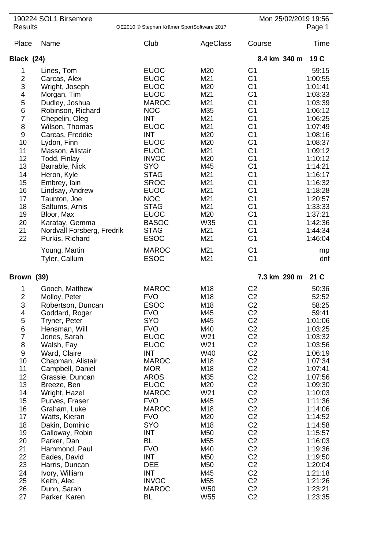| <b>Results</b>   | 190224 SOL1 Birsemore                        | OE2010 © Stephan Krämer SportSoftware 2017 |                 |                                  | Mon 25/02/2019 19:56<br>Page 1 |
|------------------|----------------------------------------------|--------------------------------------------|-----------------|----------------------------------|--------------------------------|
| Place            | Name                                         | Club                                       | AgeClass        | Course                           | Time                           |
| Black (24)       |                                              |                                            |                 | 8.4 km 340 m                     | 19C                            |
| 1                | Lines, Tom                                   | <b>EUOC</b>                                | M20             | C <sub>1</sub>                   | 59:15                          |
| $\overline{c}$   | Carcas, Alex                                 | <b>EUOC</b>                                | M21             | C <sub>1</sub>                   | 1:00:55                        |
| 3                | Wright, Joseph                               | <b>EUOC</b>                                | M20             | C <sub>1</sub>                   | 1:01:41                        |
| 4                | Morgan, Tim                                  | <b>EUOC</b>                                | M21             | C <sub>1</sub>                   | 1:03:33                        |
| 5                | Dudley, Joshua                               | <b>MAROC</b>                               | M21             | C <sub>1</sub>                   | 1:03:39                        |
| $\,$ 6 $\,$      | Robinson, Richard                            | <b>NOC</b>                                 | M35             | C <sub>1</sub>                   | 1:06:12                        |
| $\overline{7}$   | Chepelin, Oleg                               | <b>INT</b>                                 | M21             | C <sub>1</sub>                   | 1:06:25                        |
| $\bf 8$          | Wilson, Thomas                               | <b>EUOC</b>                                | M21             | C <sub>1</sub>                   | 1:07:49                        |
| $9\,$            | Carcas, Freddie                              | <b>INT</b>                                 | M20             | C <sub>1</sub>                   | 1:08:16                        |
| 10               | Lydon, Finn                                  | <b>EUOC</b>                                | M20             | C <sub>1</sub>                   | 1:08:37                        |
| 11               | Masson, Alistair                             | <b>EUOC</b>                                | M21             | C <sub>1</sub>                   | 1:09:12                        |
| 12               | Todd, Finlay                                 | <b>INVOC</b>                               | M20             | C <sub>1</sub>                   | 1:10:12                        |
| 13               | Barrable, Nick                               | <b>SYO</b>                                 | M45             | C <sub>1</sub>                   | 1:14:21                        |
| 14               | Heron, Kyle                                  | <b>STAG</b>                                | M21             | C <sub>1</sub>                   | 1:16:17                        |
| 15               | Embrey, lain                                 | <b>SROC</b>                                | M21             | C <sub>1</sub>                   | 1:16:32                        |
| 16               | Lindsay, Andrew                              | <b>EUOC</b>                                | M21             | C <sub>1</sub>                   | 1:18:28                        |
| 17               | Taunton, Joe                                 | <b>NOC</b>                                 | M21             | C <sub>1</sub>                   | 1:20:57                        |
| 18<br>19         | Saltums, Arnis                               | <b>STAG</b><br><b>EUOC</b>                 | M21<br>M20      | C <sub>1</sub><br>C <sub>1</sub> | 1:33:33<br>1:37:21             |
| 20               | Bloor, Max                                   | <b>BASOC</b>                               | W35             | C <sub>1</sub>                   | 1:42:36                        |
| 21               | Karatay, Gemma<br>Nordvall Forsberg, Fredrik | <b>STAG</b>                                | M21             | C <sub>1</sub>                   | 1:44:34                        |
| 22               | Purkis, Richard                              | <b>ESOC</b>                                | M21             | C <sub>1</sub>                   | 1:46:04                        |
|                  |                                              | <b>MAROC</b>                               | M21             | C <sub>1</sub>                   |                                |
|                  | Young, Martin<br>Tyler, Callum               | <b>ESOC</b>                                | M21             | C <sub>1</sub>                   | mp<br>dnf                      |
|                  |                                              |                                            |                 |                                  |                                |
| Brown (39)       |                                              |                                            |                 | 7.3 km 290 m                     | 21 <sub>C</sub>                |
| 1                | Gooch, Matthew                               | <b>MAROC</b>                               | M18             | C <sub>2</sub>                   | 50:36                          |
| $\overline{2}$   | Molloy, Peter                                | <b>FVO</b>                                 | M18             | C <sub>2</sub>                   | 52:52                          |
| 3                | Robertson, Duncan                            | <b>ESOC</b>                                | M18<br>M45      | C <sub>2</sub><br>C <sub>2</sub> | 58:25                          |
| 4<br>$\mathbf 5$ | Goddard, Roger<br>Tryner, Peter              | <b>FVO</b><br><b>SYO</b>                   | M45             | C <sub>2</sub>                   | 59:41<br>1:01:06               |
| $\,6$            | Hensman, Will                                | <b>FVO</b>                                 | M40             | C <sub>2</sub>                   | 1:03:25                        |
| $\overline{7}$   | Jones, Sarah                                 | <b>EUOC</b>                                | W21             | C <sub>2</sub>                   | 1:03:32                        |
| $\,8\,$          | Walsh, Fay                                   | <b>EUOC</b>                                | W21             | C <sub>2</sub>                   | 1:03:56                        |
| $\boldsymbol{9}$ | Ward, Claire                                 | <b>INT</b>                                 | W40             | C <sub>2</sub>                   | 1:06:19                        |
| 10               | Chapman, Alistair                            | <b>MAROC</b>                               | M18             | C <sub>2</sub>                   | 1:07:34                        |
| 11               | Campbell, Daniel                             | <b>MOR</b>                                 | M18             | C <sub>2</sub>                   | 1:07:41                        |
| 12               | Grassie, Duncan                              | <b>AROS</b>                                | M35             | C <sub>2</sub>                   | 1:07:56                        |
| 13               | Breeze, Ben                                  | <b>EUOC</b>                                | M20             | C <sub>2</sub>                   | 1:09:30                        |
| 14               | Wright, Hazel                                | <b>MAROC</b>                               | W21             | C <sub>2</sub>                   | 1:10:03                        |
| 15               | Purves, Fraser                               | <b>FVO</b>                                 | M45             | C <sub>2</sub>                   | 1:11:36                        |
| 16               | Graham, Luke                                 | <b>MAROC</b>                               | M18             | C <sub>2</sub>                   | 1:14:06                        |
| 17               | Watts, Kieran                                | <b>FVO</b>                                 | M20             | C <sub>2</sub>                   | 1:14:52                        |
| 18               | Dakin, Dominic                               | <b>SYO</b>                                 | M18             | C <sub>2</sub>                   | 1:14:58                        |
| 19               | Galloway, Robin                              | <b>INT</b>                                 | M50             | C <sub>2</sub>                   | 1:15:57                        |
| 20               | Parker, Dan                                  | <b>BL</b>                                  | M55             | C <sub>2</sub>                   | 1:16:03                        |
| 21               | Hammond, Paul                                | <b>FVO</b>                                 | M40             | C <sub>2</sub>                   | 1:19:36                        |
| 22               | Eades, David                                 | <b>INT</b>                                 | M50             | C <sub>2</sub>                   | 1:19:50                        |
| 23               | Harris, Duncan                               | <b>DEE</b>                                 | M50             | C <sub>2</sub>                   | 1:20:04                        |
| 24               | Ivory, William                               | <b>INT</b>                                 | M45             | C <sub>2</sub>                   | 1:21:18                        |
| 25<br>26         | Keith, Alec                                  | <b>INVOC</b><br><b>MAROC</b>               | M55<br>W50      | C <sub>2</sub><br>C <sub>2</sub> | 1:21:26<br>1:23:21             |
| 27               | Dunn, Sarah<br>Parker, Karen                 | <b>BL</b>                                  | W <sub>55</sub> | C <sub>2</sub>                   | 1:23:35                        |
|                  |                                              |                                            |                 |                                  |                                |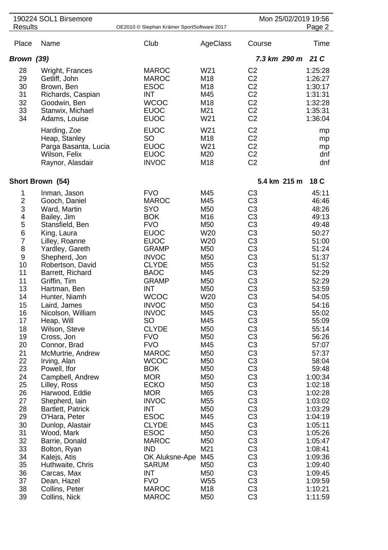|                                                                                                                                                                              | 190224 SOL1 Birsemore                                                                                                                                                                                                                                                                                                                                                                                                                    |                                                                                                                                                                                                                                                                                                                                                                                   |                                                                                                                                                                                         |                                                                                                                                                                                                                                                                                                                                                                                                                                                                | Mon 25/02/2019 19:56                                                                                                                                                                                                              |
|------------------------------------------------------------------------------------------------------------------------------------------------------------------------------|------------------------------------------------------------------------------------------------------------------------------------------------------------------------------------------------------------------------------------------------------------------------------------------------------------------------------------------------------------------------------------------------------------------------------------------|-----------------------------------------------------------------------------------------------------------------------------------------------------------------------------------------------------------------------------------------------------------------------------------------------------------------------------------------------------------------------------------|-----------------------------------------------------------------------------------------------------------------------------------------------------------------------------------------|----------------------------------------------------------------------------------------------------------------------------------------------------------------------------------------------------------------------------------------------------------------------------------------------------------------------------------------------------------------------------------------------------------------------------------------------------------------|-----------------------------------------------------------------------------------------------------------------------------------------------------------------------------------------------------------------------------------|
| <b>Results</b>                                                                                                                                                               |                                                                                                                                                                                                                                                                                                                                                                                                                                          | OE2010 © Stephan Krämer SportSoftware 2017                                                                                                                                                                                                                                                                                                                                        |                                                                                                                                                                                         |                                                                                                                                                                                                                                                                                                                                                                                                                                                                | Page 2                                                                                                                                                                                                                            |
| Place                                                                                                                                                                        | Name                                                                                                                                                                                                                                                                                                                                                                                                                                     | Club                                                                                                                                                                                                                                                                                                                                                                              | AgeClass                                                                                                                                                                                | Course                                                                                                                                                                                                                                                                                                                                                                                                                                                         | Time                                                                                                                                                                                                                              |
| Brown (39)                                                                                                                                                                   |                                                                                                                                                                                                                                                                                                                                                                                                                                          |                                                                                                                                                                                                                                                                                                                                                                                   |                                                                                                                                                                                         |                                                                                                                                                                                                                                                                                                                                                                                                                                                                | 7.3 km 290 m<br>21 C                                                                                                                                                                                                              |
| 28<br>29<br>30<br>31<br>32<br>33<br>34                                                                                                                                       | Wright, Frances<br>Getliff, John<br>Brown, Ben<br>Richards, Caspian<br>Goodwin, Ben<br>Stanwix, Michael<br>Adams, Louise<br>Harding, Zoe                                                                                                                                                                                                                                                                                                 | <b>MAROC</b><br><b>MAROC</b><br><b>ESOC</b><br><b>INT</b><br><b>WCOC</b><br><b>EUOC</b><br><b>EUOC</b><br><b>EUOC</b>                                                                                                                                                                                                                                                             | W21<br>M18<br>M18<br>M45<br>M18<br>M21<br>W21<br>W21                                                                                                                                    | C <sub>2</sub><br>C <sub>2</sub><br>C <sub>2</sub><br>C <sub>2</sub><br>C <sub>2</sub><br>C <sub>2</sub><br>C <sub>2</sub><br>C <sub>2</sub>                                                                                                                                                                                                                                                                                                                   | 1:25:28<br>1:26:27<br>1:30:17<br>1:31:31<br>1:32:28<br>1:35:31<br>1:36:04<br>mp                                                                                                                                                   |
|                                                                                                                                                                              | Heap, Stanley<br>Parga Basanta, Lucia<br>Wilson, Felix<br>Raynor, Alasdair                                                                                                                                                                                                                                                                                                                                                               | SO<br><b>EUOC</b><br><b>EUOC</b><br><b>INVOC</b>                                                                                                                                                                                                                                                                                                                                  | M18<br>W21<br>M20<br>M18                                                                                                                                                                | C <sub>2</sub><br>C <sub>2</sub><br>C <sub>2</sub><br>C <sub>2</sub>                                                                                                                                                                                                                                                                                                                                                                                           | mp<br>mp<br>dnf<br>dnf                                                                                                                                                                                                            |
|                                                                                                                                                                              | Short Brown (54)                                                                                                                                                                                                                                                                                                                                                                                                                         |                                                                                                                                                                                                                                                                                                                                                                                   |                                                                                                                                                                                         |                                                                                                                                                                                                                                                                                                                                                                                                                                                                | 5.4 km 215 m<br>18 C                                                                                                                                                                                                              |
| 1<br>$\overline{\mathbf{c}}$<br>3<br>4<br>5<br>6<br>$\overline{7}$<br>8<br>9<br>10<br>11<br>11<br>13<br>14<br>15<br>16<br>17<br>18<br>19<br>20<br>21<br>22<br>23<br>24<br>25 | Inman, Jason<br>Gooch, Daniel<br>Ward, Martin<br>Bailey, Jim<br>Stansfield, Ben<br>King, Laura<br>Lilley, Roanne<br>Yardley, Gareth<br>Shepherd, Jon<br>Robertson, David<br>Barrett, Richard<br>Griffin, Tim<br>Hartman, Ben<br>Hunter, Niamh<br>Laird, James<br>Nicolson, William<br>Heap, Will<br>Wilson, Steve<br>Cross, Jon<br>Connor, Brad<br>McMurtrie, Andrew<br>Irving, Alan<br>Powell, Ifor<br>Campbell, Andrew<br>Lilley, Ross | <b>FVO</b><br><b>MAROC</b><br><b>SYO</b><br><b>BOK</b><br><b>FVO</b><br><b>EUOC</b><br><b>EUOC</b><br><b>GRAMP</b><br><b>INVOC</b><br><b>CLYDE</b><br><b>BAOC</b><br><b>GRAMP</b><br><b>INT</b><br><b>WCOC</b><br><b>INVOC</b><br><b>INVOC</b><br><b>SO</b><br><b>CLYDE</b><br><b>FVO</b><br><b>FVO</b><br><b>MAROC</b><br><b>WCOC</b><br><b>BOK</b><br><b>MOR</b><br><b>ECKO</b> | M45<br>M45<br>M50<br>M16<br>M50<br>W20<br>W20<br>M50<br>M50<br>M <sub>55</sub><br>M45<br>M50<br>M50<br>W20<br>M50<br>M45<br>M45<br>M50<br>M50<br>M45<br>M50<br>M50<br>M50<br>M50<br>M50 | C <sub>3</sub><br>C <sub>3</sub><br>C <sub>3</sub><br>C <sub>3</sub><br>C <sub>3</sub><br>C <sub>3</sub><br>C <sub>3</sub><br>C <sub>3</sub><br>C <sub>3</sub><br>C <sub>3</sub><br>C <sub>3</sub><br>C <sub>3</sub><br>C <sub>3</sub><br>C <sub>3</sub><br>C <sub>3</sub><br>C <sub>3</sub><br>C <sub>3</sub><br>C <sub>3</sub><br>C <sub>3</sub><br>C <sub>3</sub><br>C <sub>3</sub><br>C <sub>3</sub><br>C <sub>3</sub><br>C <sub>3</sub><br>C <sub>3</sub> | 45:11<br>46:46<br>48:26<br>49:13<br>49:48<br>50:27<br>51:00<br>51:24<br>51:37<br>51:52<br>52:29<br>52:29<br>53:59<br>54:05<br>54:16<br>55:02<br>55:09<br>55:14<br>56:26<br>57:07<br>57:37<br>58:04<br>59:48<br>1:00:34<br>1:02:18 |
| 26<br>27<br>28<br>29<br>30<br>31<br>32<br>33<br>34<br>35<br>36<br>37<br>38<br>39                                                                                             | Harwood, Eddie<br>Shepherd, lain<br>Bartlett, Patrick<br>O'Hara, Peter<br>Dunlop, Alastair<br>Wood, Mark<br>Barrie, Donald<br>Bolton, Ryan<br>Kalejs, Atis<br>Huthwaite, Chris<br>Carcas, Max<br>Dean, Hazel<br>Collins, Peter<br>Collins, Nick                                                                                                                                                                                          | <b>MOR</b><br><b>INVOC</b><br><b>INT</b><br><b>ESOC</b><br><b>CLYDE</b><br><b>ESOC</b><br><b>MAROC</b><br><b>IND</b><br>OK Aluksne-Ape<br><b>SARUM</b><br><b>INT</b><br><b>FVO</b><br><b>MAROC</b><br><b>MAROC</b>                                                                                                                                                                | M65<br>M55<br>M50<br>M45<br>M45<br>M50<br>M50<br>M21<br>M45<br>M50<br>M50<br>W <sub>55</sub><br>M18<br>M50                                                                              | C <sub>3</sub><br>C <sub>3</sub><br>C <sub>3</sub><br>C <sub>3</sub><br>C <sub>3</sub><br>C <sub>3</sub><br>C <sub>3</sub><br>C <sub>3</sub><br>C <sub>3</sub><br>C <sub>3</sub><br>C <sub>3</sub><br>C <sub>3</sub><br>C <sub>3</sub><br>C <sub>3</sub>                                                                                                                                                                                                       | 1:02:28<br>1:03:02<br>1:03:29<br>1:04:19<br>1:05:11<br>1:05:26<br>1:05:47<br>1:08:41<br>1:09:36<br>1:09:40<br>1:09:45<br>1:09:59<br>1:10:21<br>1:11:59                                                                            |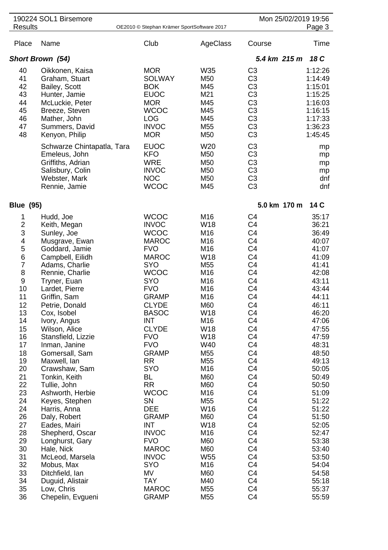|                                                                                                                                                                                                                                              | 190224 SOL1 Birsemore                                                                                                                                                                                                                                                                                                                                                                                                                                                                                                                                           |                                                                                                                                                                                                                                                                                                                                                                                                                                                                               |                                                                                                                                                                                                                                                 |                                                                                                                                                                                                                                                                                                                                                                                                                                                                                                          | Mon 25/02/2019 19:56                                                                                                                                                                                                                                                                                  |
|----------------------------------------------------------------------------------------------------------------------------------------------------------------------------------------------------------------------------------------------|-----------------------------------------------------------------------------------------------------------------------------------------------------------------------------------------------------------------------------------------------------------------------------------------------------------------------------------------------------------------------------------------------------------------------------------------------------------------------------------------------------------------------------------------------------------------|-------------------------------------------------------------------------------------------------------------------------------------------------------------------------------------------------------------------------------------------------------------------------------------------------------------------------------------------------------------------------------------------------------------------------------------------------------------------------------|-------------------------------------------------------------------------------------------------------------------------------------------------------------------------------------------------------------------------------------------------|----------------------------------------------------------------------------------------------------------------------------------------------------------------------------------------------------------------------------------------------------------------------------------------------------------------------------------------------------------------------------------------------------------------------------------------------------------------------------------------------------------|-------------------------------------------------------------------------------------------------------------------------------------------------------------------------------------------------------------------------------------------------------------------------------------------------------|
| <b>Results</b>                                                                                                                                                                                                                               |                                                                                                                                                                                                                                                                                                                                                                                                                                                                                                                                                                 | OE2010 © Stephan Krämer SportSoftware 2017                                                                                                                                                                                                                                                                                                                                                                                                                                    |                                                                                                                                                                                                                                                 |                                                                                                                                                                                                                                                                                                                                                                                                                                                                                                          | Page 3                                                                                                                                                                                                                                                                                                |
| Place                                                                                                                                                                                                                                        | Name                                                                                                                                                                                                                                                                                                                                                                                                                                                                                                                                                            | Club                                                                                                                                                                                                                                                                                                                                                                                                                                                                          | AgeClass                                                                                                                                                                                                                                        | Course                                                                                                                                                                                                                                                                                                                                                                                                                                                                                                   | Time                                                                                                                                                                                                                                                                                                  |
|                                                                                                                                                                                                                                              | <b>Short Brown (54)</b>                                                                                                                                                                                                                                                                                                                                                                                                                                                                                                                                         |                                                                                                                                                                                                                                                                                                                                                                                                                                                                               |                                                                                                                                                                                                                                                 | 5.4 km 215 m                                                                                                                                                                                                                                                                                                                                                                                                                                                                                             | 18 C                                                                                                                                                                                                                                                                                                  |
| 40<br>41<br>42<br>43<br>44<br>45<br>46<br>47<br>48                                                                                                                                                                                           | Oikkonen, Kaisa<br>Graham, Stuart<br>Bailey, Scott<br>Hunter, Jamie<br>McLuckie, Peter<br>Breeze, Steven<br>Mather, John<br>Summers, David<br>Kenyon, Philip                                                                                                                                                                                                                                                                                                                                                                                                    | <b>MOR</b><br><b>SOLWAY</b><br><b>BOK</b><br><b>EUOC</b><br><b>MOR</b><br><b>WCOC</b><br><b>LOG</b><br><b>INVOC</b><br><b>MOR</b>                                                                                                                                                                                                                                                                                                                                             | W35<br>M50<br>M45<br>M21<br>M45<br>M45<br>M45<br>M55<br>M50                                                                                                                                                                                     | C <sub>3</sub><br>C <sub>3</sub><br>C <sub>3</sub><br>C <sub>3</sub><br>C <sub>3</sub><br>C <sub>3</sub><br>C <sub>3</sub><br>C <sub>3</sub><br>C <sub>3</sub>                                                                                                                                                                                                                                                                                                                                           | 1:12:26<br>1:14:49<br>1:15:01<br>1:15:25<br>1:16:03<br>1:16:15<br>1:17:33<br>1:36:23<br>1:45:45                                                                                                                                                                                                       |
|                                                                                                                                                                                                                                              | Schwarze Chintapatla, Tara<br>Emeleus, John<br>Griffiths, Adrian<br>Salisbury, Colin<br>Webster, Mark<br>Rennie, Jamie                                                                                                                                                                                                                                                                                                                                                                                                                                          | <b>EUOC</b><br><b>KFO</b><br><b>WRE</b><br><b>INVOC</b><br><b>NOC</b><br><b>WCOC</b>                                                                                                                                                                                                                                                                                                                                                                                          | W20<br>M50<br>M50<br>M50<br>M50<br>M45                                                                                                                                                                                                          | C <sub>3</sub><br>C <sub>3</sub><br>C <sub>3</sub><br>C <sub>3</sub><br>C <sub>3</sub><br>C <sub>3</sub>                                                                                                                                                                                                                                                                                                                                                                                                 | mp<br>mp<br>mp<br>mp<br>dnf<br>dnf                                                                                                                                                                                                                                                                    |
| <b>Blue (95)</b>                                                                                                                                                                                                                             |                                                                                                                                                                                                                                                                                                                                                                                                                                                                                                                                                                 |                                                                                                                                                                                                                                                                                                                                                                                                                                                                               |                                                                                                                                                                                                                                                 | 5.0 km 170 m                                                                                                                                                                                                                                                                                                                                                                                                                                                                                             | 14 C                                                                                                                                                                                                                                                                                                  |
| 1<br>$\overline{\mathbf{c}}$<br>3<br>$\overline{\mathbf{4}}$<br>5<br>6<br>$\overline{7}$<br>8<br>9<br>10<br>11<br>12<br>13<br>14<br>15<br>16<br>17<br>18<br>19<br>20<br>21<br>22<br>23<br>24<br>24<br>26<br>27<br>28<br>29<br>30<br>31<br>32 | Hudd, Joe<br>Keith, Megan<br>Sunley, Joe<br>Musgrave, Ewan<br>Goddard, Jamie<br>Campbell, Eilidh<br>Adams, Charlie<br>Rennie, Charlie<br>Tryner, Euan<br>Lardet, Pierre<br>Griffin, Sam<br>Petrie, Donald<br>Cox, Isobel<br>Ivory, Angus<br>Wilson, Alice<br>Stansfield, Lizzie<br>Inman, Janine<br>Gomersall, Sam<br>Maxwell, lan<br>Crawshaw, Sam<br>Tonkin, Keith<br>Tullie, John<br>Ashworth, Herbie<br>Keyes, Stephen<br>Harris, Anna<br>Daly, Robert<br>Eades, Mairi<br>Shepherd, Oscar<br>Longhurst, Gary<br>Hale, Nick<br>McLeod, Marsela<br>Mobus, Max | <b>WCOC</b><br><b>INVOC</b><br><b>WCOC</b><br><b>MAROC</b><br><b>FVO</b><br><b>MAROC</b><br><b>SYO</b><br><b>WCOC</b><br><b>SYO</b><br><b>FVO</b><br><b>GRAMP</b><br><b>CLYDE</b><br><b>BASOC</b><br><b>INT</b><br><b>CLYDE</b><br><b>FVO</b><br><b>FVO</b><br><b>GRAMP</b><br><b>RR</b><br><b>SYO</b><br><b>BL</b><br><b>RR</b><br><b>WCOC</b><br>SN<br><b>DEE</b><br><b>GRAMP</b><br><b>INT</b><br><b>INVOC</b><br><b>FVO</b><br><b>MAROC</b><br><b>INVOC</b><br><b>SYO</b> | M16<br>W18<br>M16<br>M16<br>M16<br><b>W18</b><br>M55<br>M16<br>M16<br>M16<br>M16<br>M60<br>W18<br>M16<br>W18<br>W18<br>W40<br>M55<br>M55<br>M16<br>M60<br>M60<br>M16<br>M55<br>W16<br>M60<br>W18<br>M16<br>M60<br>M60<br>W <sub>55</sub><br>M16 | C <sub>4</sub><br>C <sub>4</sub><br>C <sub>4</sub><br>C <sub>4</sub><br>C <sub>4</sub><br>C <sub>4</sub><br>C <sub>4</sub><br>C <sub>4</sub><br>C <sub>4</sub><br>C <sub>4</sub><br>C <sub>4</sub><br>C <sub>4</sub><br>C4<br>C <sub>4</sub><br>C4<br>C4<br>C4<br>C <sub>4</sub><br>C <sub>4</sub><br>C <sub>4</sub><br>C <sub>4</sub><br>C <sub>4</sub><br>C <sub>4</sub><br>C <sub>4</sub><br>C <sub>4</sub><br>C <sub>4</sub><br>C <sub>4</sub><br>C4<br>C <sub>4</sub><br>C <sub>4</sub><br>C4<br>C4 | 35:17<br>36:21<br>36:49<br>40:07<br>41:07<br>41:09<br>41:41<br>42:08<br>43:11<br>43:44<br>44:11<br>46:11<br>46:20<br>47:06<br>47:55<br>47:59<br>48:31<br>48:50<br>49:13<br>50:05<br>50:49<br>50:50<br>51:09<br>51:22<br>51:22<br>51:50<br>52:05<br>52:47<br>53:38<br>53:40<br>53:50<br>54:04<br>54:58 |
| 33<br>34<br>35<br>36                                                                                                                                                                                                                         | Ditchfield, Ian<br>Duguid, Alistair<br>Low, Chris<br>Chepelin, Evgueni                                                                                                                                                                                                                                                                                                                                                                                                                                                                                          | MV<br><b>TAY</b><br><b>MAROC</b><br><b>GRAMP</b>                                                                                                                                                                                                                                                                                                                                                                                                                              | M60<br>M40<br>M55<br>M55                                                                                                                                                                                                                        | C <sub>4</sub><br>C <sub>4</sub><br>C <sub>4</sub><br>C <sub>4</sub>                                                                                                                                                                                                                                                                                                                                                                                                                                     | 55:18<br>55:37<br>55:59                                                                                                                                                                                                                                                                               |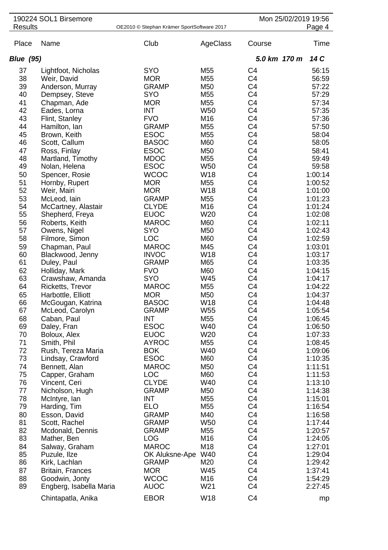|                  | 190224 SOL1 Birsemore           |                                            |                   |                                  | Mon 25/02/2019 19:56 |                    |
|------------------|---------------------------------|--------------------------------------------|-------------------|----------------------------------|----------------------|--------------------|
| <b>Results</b>   |                                 | OE2010 © Stephan Krämer SportSoftware 2017 |                   |                                  |                      | Page 4             |
| Place            | Name                            | Club                                       | AgeClass          | Course                           |                      | Time               |
| <b>Blue (95)</b> |                                 |                                            |                   | 5.0 km 170 m                     |                      | 14 C               |
| 37               | Lightfoot, Nicholas             | <b>SYO</b>                                 | M55               | C <sub>4</sub>                   |                      | 56:15              |
| 38               | Weir, David                     | <b>MOR</b>                                 | M55               | C <sub>4</sub>                   |                      | 56:59              |
| 39               | Anderson, Murray                | <b>GRAMP</b>                               | M50               | C <sub>4</sub>                   |                      | 57:22              |
| 40               | Dempsey, Steve                  | <b>SYO</b>                                 | M55               | C <sub>4</sub>                   |                      | 57:29              |
| 41               | Chapman, Ade                    | <b>MOR</b>                                 | M55               | C <sub>4</sub>                   |                      | 57:34              |
| 42               | Eades, Lorna                    | <b>INT</b>                                 | W <sub>50</sub>   | C <sub>4</sub>                   |                      | 57:35              |
| 43               | Flint, Stanley                  | <b>FVO</b>                                 | M16               | C <sub>4</sub>                   |                      | 57:36              |
| 44               | Hamilton, Ian                   | <b>GRAMP</b>                               | M55               | C <sub>4</sub>                   |                      | 57:50              |
| 45               | Brown, Keith                    | <b>ESOC</b>                                | M55               | C <sub>4</sub>                   |                      | 58:04              |
| 46               | Scott, Callum                   | <b>BASOC</b>                               | M60               | C <sub>4</sub>                   |                      | 58:05              |
| 47               | Ross, Finlay                    | <b>ESOC</b>                                | M50               | C <sub>4</sub>                   |                      | 58:41              |
| 48               | Martland, Timothy               | <b>MDOC</b>                                | M55               | C <sub>4</sub>                   |                      | 59:49              |
| 49               | Nolan, Helena                   | <b>ESOC</b>                                | <b>W50</b>        | C <sub>4</sub>                   |                      | 59:58              |
| 50               | Spencer, Rosie                  | <b>WCOC</b>                                | <b>W18</b>        | C <sub>4</sub>                   |                      | 1:00:14            |
| 51               | Hornby, Rupert                  | <b>MOR</b>                                 | M55               | C <sub>4</sub>                   |                      | 1:00:52            |
| 52               | Weir, Mairi                     | <b>MOR</b>                                 | W18               | C4                               |                      | 1:01:00            |
| 53               | McLeod, lain                    | <b>GRAMP</b>                               | M55               | C <sub>4</sub>                   |                      | 1:01:23            |
| 54               | McCartney, Alastair             | <b>CLYDE</b>                               | M16               | C <sub>4</sub>                   |                      | 1:01:24            |
| 55               | Shepherd, Freya                 | <b>EUOC</b>                                | W <sub>20</sub>   | C <sub>4</sub>                   |                      | 1:02:08            |
| 56               | Roberts, Keith                  | <b>MAROC</b>                               | M60               | C <sub>4</sub>                   |                      | 1:02:11            |
| 57               | Owens, Nigel                    | <b>SYO</b>                                 | M50               | C <sub>4</sub>                   |                      | 1:02:43            |
| 58               | Filmore, Simon                  | LOC                                        | M60               | C <sub>4</sub>                   |                      | 1:02:59            |
| 59               | Chapman, Paul                   | <b>MAROC</b>                               | M45               | C <sub>4</sub>                   |                      | 1:03:01            |
| 60               | Blackwood, Jenny                | <b>INVOC</b>                               | W18               | C <sub>4</sub>                   |                      | 1:03:17            |
| 61               | Duley, Paul                     | <b>GRAMP</b>                               | M65               | C <sub>4</sub>                   |                      | 1:03:35            |
| 62               | Holliday, Mark                  | <b>FVO</b>                                 | M60               | C <sub>4</sub>                   |                      | 1:04:15            |
| 63               | Crawshaw, Amanda                | <b>SYO</b>                                 | W45               | C <sub>4</sub>                   |                      | 1:04:17            |
| 64               | Ricketts, Trevor                | <b>MAROC</b>                               | M55               | C <sub>4</sub>                   |                      | 1:04:22            |
| 65               | Harbottle, Elliott              | <b>MOR</b>                                 | M50               | C <sub>4</sub>                   |                      | 1:04:37            |
| 66               | McGougan, Katrina               | <b>BASOC</b>                               | W18               | C <sub>4</sub>                   |                      | 1:04:48            |
| 67               | McLeod, Carolyn                 | <b>GRAMP</b>                               | W <sub>55</sub>   | C4                               |                      | 1:05:54            |
| 68               | Caban, Paul                     | <b>INT</b>                                 | M55               | C <sub>4</sub>                   |                      | 1:06:45            |
| 69               | Daley, Fran                     | <b>ESOC</b>                                | W40               | C <sub>4</sub>                   |                      | 1:06:50            |
| 70               | Boloux, Alex                    | <b>EUOC</b>                                | W20               | C <sub>4</sub>                   |                      | 1:07:33            |
| 71               | Smith, Phil                     | <b>AYROC</b>                               | M55               | C <sub>4</sub>                   |                      | 1:08:45            |
| 72               | Rush, Tereza Maria              | <b>BOK</b>                                 | W40               | C <sub>4</sub>                   |                      | 1:09:06            |
| 73               | Lindsay, Crawford               | <b>ESOC</b>                                | M60               | C <sub>4</sub>                   |                      | 1:10:35            |
| 74               | Bennett, Alan                   | <b>MAROC</b>                               | M50               | C <sub>4</sub>                   |                      | 1:11:51            |
| 75               | Capper, Graham                  | <b>LOC</b>                                 | M60               | C <sub>4</sub>                   |                      | 1:11:53            |
| 76               | Vincent, Ceri                   | <b>CLYDE</b>                               | W40               | C4                               |                      | 1:13:10            |
| 77               | Nicholson, Hugh                 | <b>GRAMP</b>                               | M50               | C <sub>4</sub>                   |                      | 1:14:38            |
| 78<br>79         | McIntyre, lan                   | INT<br><b>ELO</b>                          | M55               | C <sub>4</sub><br>C <sub>4</sub> |                      | 1:15:01            |
|                  | Harding, Tim                    |                                            | M55               |                                  |                      | 1:16:54            |
| 80<br>81         | Esson, David                    | <b>GRAMP</b>                               | M40<br><b>W50</b> | C <sub>4</sub><br>C <sub>4</sub> |                      | 1:16:58            |
| 82               | Scott, Rachel                   | <b>GRAMP</b><br><b>GRAMP</b>               | M55               | C <sub>4</sub>                   |                      | 1:17:44<br>1:20:57 |
| 83               | Mcdonald, Dennis<br>Mather, Ben | <b>LOG</b>                                 | M16               | C <sub>4</sub>                   |                      | 1:24:05            |
| 84               |                                 | <b>MAROC</b>                               | M18               | C <sub>4</sub>                   |                      | 1:27:01            |
| 85               | Salway, Graham<br>Puzule, Ilze  | OK Aluksne-Ape                             | W40               | C <sub>4</sub>                   |                      | 1:29:04            |
| 86               | Kirk, Lachlan                   | <b>GRAMP</b>                               | M20               | C <sub>4</sub>                   |                      | 1:29:42            |
| 87               | <b>Britain, Frances</b>         | <b>MOR</b>                                 | W45               | C <sub>4</sub>                   |                      | 1:37:41            |
| 88               | Goodwin, Jonty                  | <b>WCOC</b>                                | M16               | C <sub>4</sub>                   |                      | 1:54:29            |
| 89               | Engberg, Isabella Maria         | <b>AUOC</b>                                | W21               | C <sub>4</sub>                   |                      | 2:27:45            |
|                  |                                 |                                            |                   |                                  |                      |                    |
|                  | Chintapatla, Anika              | <b>EBOR</b>                                | W18               | C <sub>4</sub>                   |                      | mp                 |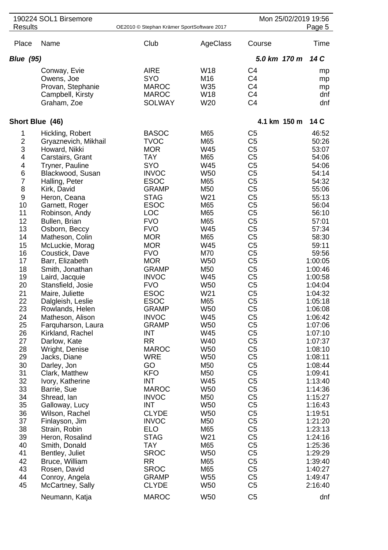|                                                                                                                                                                                                                                                                                    | 190224 SOL1 Birsemore                                                                                                                                                                                                                                                                                                                                                                                                                                                                                                                                                                                                                                                                                                                                                                          |                                                                                                                                                                                                                                                                                                                                                                                                                                                                                                                                                                                                             |                                                                                                                                                                                                                                                                                                                                                                                                                      |                                                                                                                                                                                                                                                                                                                                                                                                                                                                                                                                                                                                                                                                                                                                                                                  | Mon 25/02/2019 19:56                                                                                                                                                                                                                                                                                                                                                                                                                       |
|------------------------------------------------------------------------------------------------------------------------------------------------------------------------------------------------------------------------------------------------------------------------------------|------------------------------------------------------------------------------------------------------------------------------------------------------------------------------------------------------------------------------------------------------------------------------------------------------------------------------------------------------------------------------------------------------------------------------------------------------------------------------------------------------------------------------------------------------------------------------------------------------------------------------------------------------------------------------------------------------------------------------------------------------------------------------------------------|-------------------------------------------------------------------------------------------------------------------------------------------------------------------------------------------------------------------------------------------------------------------------------------------------------------------------------------------------------------------------------------------------------------------------------------------------------------------------------------------------------------------------------------------------------------------------------------------------------------|----------------------------------------------------------------------------------------------------------------------------------------------------------------------------------------------------------------------------------------------------------------------------------------------------------------------------------------------------------------------------------------------------------------------|----------------------------------------------------------------------------------------------------------------------------------------------------------------------------------------------------------------------------------------------------------------------------------------------------------------------------------------------------------------------------------------------------------------------------------------------------------------------------------------------------------------------------------------------------------------------------------------------------------------------------------------------------------------------------------------------------------------------------------------------------------------------------------|--------------------------------------------------------------------------------------------------------------------------------------------------------------------------------------------------------------------------------------------------------------------------------------------------------------------------------------------------------------------------------------------------------------------------------------------|
| <b>Results</b>                                                                                                                                                                                                                                                                     |                                                                                                                                                                                                                                                                                                                                                                                                                                                                                                                                                                                                                                                                                                                                                                                                | OE2010 © Stephan Krämer SportSoftware 2017                                                                                                                                                                                                                                                                                                                                                                                                                                                                                                                                                                  |                                                                                                                                                                                                                                                                                                                                                                                                                      |                                                                                                                                                                                                                                                                                                                                                                                                                                                                                                                                                                                                                                                                                                                                                                                  | Page 5                                                                                                                                                                                                                                                                                                                                                                                                                                     |
| Place                                                                                                                                                                                                                                                                              | Name                                                                                                                                                                                                                                                                                                                                                                                                                                                                                                                                                                                                                                                                                                                                                                                           | Club                                                                                                                                                                                                                                                                                                                                                                                                                                                                                                                                                                                                        | AgeClass                                                                                                                                                                                                                                                                                                                                                                                                             | Course                                                                                                                                                                                                                                                                                                                                                                                                                                                                                                                                                                                                                                                                                                                                                                           | Time                                                                                                                                                                                                                                                                                                                                                                                                                                       |
| <b>Blue</b> (95)                                                                                                                                                                                                                                                                   |                                                                                                                                                                                                                                                                                                                                                                                                                                                                                                                                                                                                                                                                                                                                                                                                |                                                                                                                                                                                                                                                                                                                                                                                                                                                                                                                                                                                                             |                                                                                                                                                                                                                                                                                                                                                                                                                      | 5.0 km 170 m                                                                                                                                                                                                                                                                                                                                                                                                                                                                                                                                                                                                                                                                                                                                                                     | 14 C                                                                                                                                                                                                                                                                                                                                                                                                                                       |
|                                                                                                                                                                                                                                                                                    | Conway, Evie<br>Owens, Joe<br>Provan, Stephanie<br>Campbell, Kirsty<br>Graham, Zoe                                                                                                                                                                                                                                                                                                                                                                                                                                                                                                                                                                                                                                                                                                             | <b>AIRE</b><br><b>SYO</b><br><b>MAROC</b><br><b>MAROC</b><br><b>SOLWAY</b>                                                                                                                                                                                                                                                                                                                                                                                                                                                                                                                                  | W18<br>M16<br>W35<br>W18<br>W20                                                                                                                                                                                                                                                                                                                                                                                      | C <sub>4</sub><br>C <sub>4</sub><br>C <sub>4</sub><br>C <sub>4</sub><br>C <sub>4</sub>                                                                                                                                                                                                                                                                                                                                                                                                                                                                                                                                                                                                                                                                                           | mp<br>mp<br>mp<br>dnf<br>dnf                                                                                                                                                                                                                                                                                                                                                                                                               |
| Short Blue (46)                                                                                                                                                                                                                                                                    |                                                                                                                                                                                                                                                                                                                                                                                                                                                                                                                                                                                                                                                                                                                                                                                                |                                                                                                                                                                                                                                                                                                                                                                                                                                                                                                                                                                                                             |                                                                                                                                                                                                                                                                                                                                                                                                                      | 4.1 km 150 m                                                                                                                                                                                                                                                                                                                                                                                                                                                                                                                                                                                                                                                                                                                                                                     | 14 C                                                                                                                                                                                                                                                                                                                                                                                                                                       |
| 1<br>$\overline{\mathbf{c}}$<br>3<br>4<br>4<br>6<br>$\overline{7}$<br>8<br>9<br>10<br>11<br>12<br>13<br>14<br>15<br>16<br>17<br>18<br>19<br>20<br>21<br>22<br>23<br>24<br>25<br>26<br>27<br>28<br>29<br>30<br>31<br>32<br>33<br>34<br>35<br>36<br>37<br>38<br>39<br>40<br>41<br>42 | Hickling, Robert<br>Gryaznevich, Mikhail<br>Howard, Nikki<br>Carstairs, Grant<br>Tryner, Pauline<br>Blackwood, Susan<br>Halling, Peter<br>Kirk, David<br>Heron, Ceana<br>Garnett, Roger<br>Robinson, Andy<br>Bullen, Brian<br>Osborn, Beccy<br>Matheson, Colin<br>McLuckie, Morag<br>Coustick, Dave<br>Barr, Elizabeth<br>Smith, Jonathan<br>Laird, Jacquie<br>Stansfield, Josie<br>Maire, Juliette<br>Dalgleish, Leslie<br>Rowlands, Helen<br>Matheson, Alison<br>Farquharson, Laura<br>Kirkland, Rachel<br>Darlow, Kate<br>Wright, Denise<br>Jacks, Diane<br>Darley, Jon<br>Clark, Matthew<br>Ivory, Katherine<br>Barrie, Sue<br>Shread, Ian<br>Galloway, Lucy<br>Wilson, Rachel<br>Finlayson, Jim<br>Strain, Robin<br>Heron, Rosalind<br>Smith, Donald<br>Bentley, Juliet<br>Bruce, William | <b>BASOC</b><br><b>TVOC</b><br><b>MOR</b><br><b>TAY</b><br><b>SYO</b><br><b>INVOC</b><br><b>ESOC</b><br><b>GRAMP</b><br><b>STAG</b><br><b>ESOC</b><br><b>LOC</b><br><b>FVO</b><br><b>FVO</b><br><b>MOR</b><br><b>MOR</b><br><b>FVO</b><br><b>MOR</b><br><b>GRAMP</b><br><b>INVOC</b><br><b>FVO</b><br><b>ESOC</b><br><b>ESOC</b><br><b>GRAMP</b><br><b>INVOC</b><br><b>GRAMP</b><br>INT<br><b>RR</b><br><b>MAROC</b><br><b>WRE</b><br>GO<br><b>KFO</b><br>INT<br><b>MAROC</b><br><b>INVOC</b><br><b>INT</b><br><b>CLYDE</b><br><b>INVOC</b><br><b>ELO</b><br><b>STAG</b><br>TAY<br><b>SROC</b><br><b>RR</b> | M65<br>M65<br>W45<br>M65<br>W45<br><b>W50</b><br>M65<br>M50<br>W21<br>M65<br>M65<br>M65<br>W45<br>M65<br>W45<br>M70<br>W <sub>50</sub><br>M <sub>50</sub><br>W45<br>W <sub>50</sub><br>W21<br>M65<br>W50<br>W45<br>W <sub>50</sub><br>W45<br>W40<br><b>W50</b><br><b>W50</b><br>M50<br>M50<br>W45<br><b>W50</b><br>M50<br><b>W50</b><br><b>W50</b><br>M <sub>50</sub><br>M65<br>W21<br>M65<br>W <sub>50</sub><br>M65 | C <sub>5</sub><br>C <sub>5</sub><br>C <sub>5</sub><br>C <sub>5</sub><br>C <sub>5</sub><br>C <sub>5</sub><br>C <sub>5</sub><br>C <sub>5</sub><br>C <sub>5</sub><br>C <sub>5</sub><br>C <sub>5</sub><br>C <sub>5</sub><br>C <sub>5</sub><br>C <sub>5</sub><br>C <sub>5</sub><br>C <sub>5</sub><br>C <sub>5</sub><br>C <sub>5</sub><br>C <sub>5</sub><br>C <sub>5</sub><br>C <sub>5</sub><br>C <sub>5</sub><br>C <sub>5</sub><br>C <sub>5</sub><br>C <sub>5</sub><br>C <sub>5</sub><br>C <sub>5</sub><br>C <sub>5</sub><br>C <sub>5</sub><br>C <sub>5</sub><br>C <sub>5</sub><br>C <sub>5</sub><br>C <sub>5</sub><br>C <sub>5</sub><br>C <sub>5</sub><br>C <sub>5</sub><br>C <sub>5</sub><br>C <sub>5</sub><br>C <sub>5</sub><br>C <sub>5</sub><br>C <sub>5</sub><br>C <sub>5</sub> | 46:52<br>50:26<br>53:07<br>54:06<br>54:06<br>54:14<br>54:32<br>55:06<br>55:13<br>56:04<br>56:10<br>57:01<br>57:34<br>58:30<br>59:11<br>59:56<br>1:00:05<br>1:00:46<br>1:00:58<br>1:04:04<br>1:04:32<br>1:05:18<br>1:06:08<br>1:06:42<br>1:07:06<br>1:07:10<br>1:07:37<br>1:08:10<br>1:08:11<br>1:08:44<br>1:09:41<br>1:13:40<br>1:14:36<br>1:15:27<br>1:16:43<br>1:19:51<br>1:21:20<br>1:23:13<br>1:24:16<br>1:25:36<br>1:29:29<br>1:39:40 |
| 43<br>44<br>45                                                                                                                                                                                                                                                                     | Rosen, David<br>Conroy, Angela<br>McCartney, Sally                                                                                                                                                                                                                                                                                                                                                                                                                                                                                                                                                                                                                                                                                                                                             | <b>SROC</b><br><b>GRAMP</b><br><b>CLYDE</b>                                                                                                                                                                                                                                                                                                                                                                                                                                                                                                                                                                 | M65<br>W <sub>55</sub><br><b>W50</b>                                                                                                                                                                                                                                                                                                                                                                                 | C <sub>5</sub><br>C <sub>5</sub><br>C <sub>5</sub>                                                                                                                                                                                                                                                                                                                                                                                                                                                                                                                                                                                                                                                                                                                               | 1:40:27<br>1:49:47<br>2:16:40                                                                                                                                                                                                                                                                                                                                                                                                              |
|                                                                                                                                                                                                                                                                                    | Neumann, Katja                                                                                                                                                                                                                                                                                                                                                                                                                                                                                                                                                                                                                                                                                                                                                                                 | <b>MAROC</b>                                                                                                                                                                                                                                                                                                                                                                                                                                                                                                                                                                                                | <b>W50</b>                                                                                                                                                                                                                                                                                                                                                                                                           | C <sub>5</sub>                                                                                                                                                                                                                                                                                                                                                                                                                                                                                                                                                                                                                                                                                                                                                                   | dnf                                                                                                                                                                                                                                                                                                                                                                                                                                        |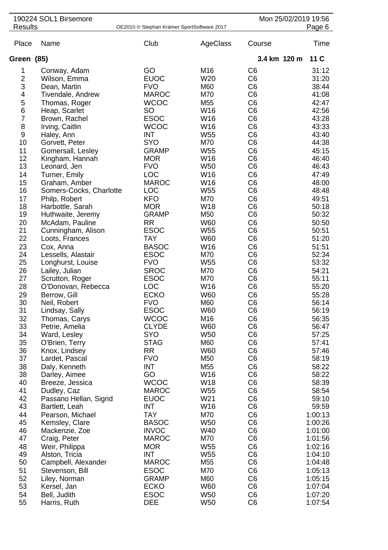|                         | 190224 SOL1 Birsemore   |                                            |                 |                | Mon 25/02/2019 19:56 |
|-------------------------|-------------------------|--------------------------------------------|-----------------|----------------|----------------------|
| <b>Results</b>          |                         | OE2010 © Stephan Krämer SportSoftware 2017 |                 |                | Page 6               |
| Place                   | Name                    | Club                                       | AgeClass        | Course         | Time                 |
| Green (85)              |                         |                                            |                 | 3.4 km 120 m   | 11 C                 |
| 1                       | Conway, Adam            | GO                                         | M16             | C <sub>6</sub> | 31:12                |
| $\overline{\mathbf{c}}$ | Wilson, Emma            | <b>EUOC</b>                                | W20             | C <sub>6</sub> | 31:20                |
| 3                       | Dean, Martin            | <b>FVO</b>                                 | M60             | C <sub>6</sub> | 38:44                |
| 4                       | Tivendale, Andrew       | <b>MAROC</b>                               | M70             | C <sub>6</sub> | 41:08                |
| 5                       | Thomas, Roger           | <b>WCOC</b>                                | M55             | C <sub>6</sub> | 42:47                |
| 6                       | Heap, Scarlet           | <b>SO</b>                                  | W16             | C <sub>6</sub> | 42:56                |
| $\overline{7}$          | Brown, Rachel           | <b>ESOC</b>                                | W16             | C <sub>6</sub> | 43:28                |
| 8                       | Irving, Caitlin         | <b>WCOC</b>                                | W16             | C <sub>6</sub> | 43:33                |
| $\boldsymbol{9}$        | Haley, Ann              | <b>INT</b>                                 | W <sub>55</sub> | C <sub>6</sub> | 43:40                |
| 10                      | Gorvett, Peter          | <b>SYO</b>                                 | M70             | C <sub>6</sub> | 44:38                |
| 11                      | Gomersall, Lesley       | <b>GRAMP</b>                               | W <sub>55</sub> | C <sub>6</sub> | 45:15                |
| 12                      | Kingham, Hannah         | <b>MOR</b>                                 | W16             | C <sub>6</sub> | 46:40                |
| 13                      | Leonard, Jen            | <b>FVO</b>                                 | W50             | C <sub>6</sub> | 46:43                |
| 14                      | Turner, Emily           | <b>LOC</b>                                 | W16             | C <sub>6</sub> | 47:49                |
| 15                      | Graham, Amber           | <b>MAROC</b>                               | W16             | C <sub>6</sub> | 48:00                |
| 16                      | Somers-Cocks, Charlotte | <b>LOC</b>                                 | W <sub>55</sub> | C <sub>6</sub> | 48:48                |
| 17                      | Philp, Robert           | <b>KFO</b>                                 | M70             | C <sub>6</sub> | 49:51                |
| 18                      | Harbottle, Sarah        | <b>MOR</b>                                 | W18             | C <sub>6</sub> | 50:18                |
| 19                      | Huthwaite, Jeremy       | <b>GRAMP</b>                               | M50             | C <sub>6</sub> | 50:32                |
| 20                      | McAdam, Pauline         | <b>RR</b>                                  | <b>W60</b>      | C <sub>6</sub> | 50:50                |
| 21                      | Cunningham, Alison      | <b>ESOC</b>                                | W <sub>55</sub> | C <sub>6</sub> | 50:51                |
| 22                      | Loots, Frances          | <b>TAY</b>                                 | W60             | C <sub>6</sub> | 51:20                |
| 23                      | Cox, Anna               | <b>BASOC</b>                               | W16             | C <sub>6</sub> | 51:51                |
| 24                      | Lessells, Alastair      | <b>ESOC</b>                                | M70             | C <sub>6</sub> | 52:34                |
| 25                      | Longhurst, Louise       | <b>FVO</b>                                 | W <sub>55</sub> | C <sub>6</sub> | 53:32                |
| 26                      | Lailey, Julian          | <b>SROC</b>                                | M70             | C <sub>6</sub> | 54:21                |
| 27                      | Scrutton, Roger         | <b>ESOC</b>                                | M70             | C <sub>6</sub> | 55:11                |
| 28                      | O'Donovan, Rebecca      | <b>LOC</b>                                 | W16             | C <sub>6</sub> | 55:20                |
| 29                      | Berrow, Gill            | <b>ECKO</b>                                | W60             | C <sub>6</sub> | 55:28                |
| 30                      | Neil, Robert            | <b>FVO</b>                                 | M60             | C <sub>6</sub> | 56:14                |
| 31                      | Lindsay, Sally          | <b>ESOC</b>                                | W60             | C <sub>6</sub> | 56:19                |
| 32                      | Thomas, Carys           | <b>WCOC</b>                                | M16             | C <sub>6</sub> | 56:35                |
| 33                      | Petrie, Amelia          | <b>CLYDE</b>                               | W60             | C <sub>6</sub> | 56:47                |
| 34                      | Ward, Lesley            | <b>SYO</b>                                 | W50             | C <sub>6</sub> | 57:25                |
| 35                      | O'Brien, Terry          | <b>STAG</b>                                | M60             | C <sub>6</sub> | 57:41                |
| 36                      | Knox, Lindsey           | <b>RR</b>                                  | <b>W60</b>      | C <sub>6</sub> | 57:46                |
| 37                      | Lardet, Pascal          | <b>FVO</b>                                 | M50             | C <sub>6</sub> | 58:19                |
| 38                      | Daly, Kenneth           | <b>INT</b>                                 | M55             | C <sub>6</sub> | 58:22                |
| 38                      | Darley, Aimee           | GO                                         | W16             | C <sub>6</sub> | 58:22                |
| 40                      | Breeze, Jessica         | <b>WCOC</b>                                | W18             | C <sub>6</sub> | 58:39                |
| 41                      | Dudley, Caz             | <b>MAROC</b>                               | W55             | C <sub>6</sub> | 58:54                |
| 42                      | Passano Hellan, Sigrid  | <b>EUOC</b>                                | W21             | C <sub>6</sub> | 59:10                |
| 43                      | Bartlett, Leah          | <b>INT</b>                                 | W16             | C <sub>6</sub> | 59:59                |
| 44                      | Pearson, Michael        | <b>TAY</b>                                 | M70             | C <sub>6</sub> | 1:00:13              |
| 45                      | Kemsley, Clare          | <b>BASOC</b>                               | W <sub>50</sub> | C <sub>6</sub> | 1:00:26              |
| 46                      | Mackenzie, Zoe          | <b>INVOC</b>                               | W40             | C <sub>6</sub> | 1:01:00              |
| 47                      | Craig, Peter            | <b>MAROC</b>                               | M70             | C <sub>6</sub> | 1:01:56              |
| 48                      | Weir, Philippa          | <b>MOR</b>                                 | W <sub>55</sub> | C <sub>6</sub> | 1:02:16              |
| 49                      | Alston, Tricia          | <b>INT</b>                                 | W <sub>55</sub> | C <sub>6</sub> | 1:04:10              |
| 50                      | Campbell, Alexander     | <b>MAROC</b>                               | M55             | C <sub>6</sub> | 1:04:48              |
| 51                      | Stevenson, Bill         | <b>ESOC</b>                                | M70             | C <sub>6</sub> | 1:05:13              |
| 52                      | Liley, Norman           | <b>GRAMP</b>                               | M60             | C <sub>6</sub> | 1:05:15              |
| 53                      | Kersel, Jan             | <b>ECKO</b>                                | <b>W60</b>      | C <sub>6</sub> | 1:07:04              |
| 54                      | Bell, Judith            | <b>ESOC</b>                                | W <sub>50</sub> | C <sub>6</sub> | 1:07:20              |
| 55                      | Harris, Ruth            | <b>DEE</b>                                 | W50             | C <sub>6</sub> | 1:07:54              |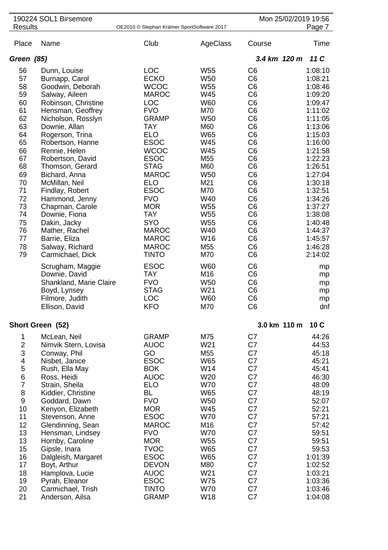|                         | 190224 SOL1 Birsemore                |                                            |                   |                                  | Mon 25/02/2019 19:56 |
|-------------------------|--------------------------------------|--------------------------------------------|-------------------|----------------------------------|----------------------|
| <b>Results</b>          |                                      | OE2010 © Stephan Krämer SportSoftware 2017 |                   |                                  | Page 7               |
| Place                   | Name                                 | Club                                       | AgeClass          | Course                           | Time                 |
| Green (85)              |                                      |                                            |                   | 3.4 km 120 m                     | 11C                  |
| 56                      | Dunn, Louise                         | <b>LOC</b>                                 | W55               | C <sub>6</sub>                   | 1:08:10              |
| 57                      | Burnapp, Carol                       | <b>ECKO</b>                                | <b>W50</b>        | C <sub>6</sub>                   | 1:08:21              |
| 58                      | Goodwin, Deborah                     | <b>WCOC</b>                                | W55               | C <sub>6</sub>                   | 1:08:46              |
| 59                      | Salway, Aileen                       | <b>MAROC</b>                               | W45               | C <sub>6</sub>                   | 1:09:20              |
| 60                      | Robinson, Christine                  | <b>LOC</b>                                 | W60               | C <sub>6</sub>                   | 1:09:47              |
| 61                      | Hensman, Geoffrey                    | <b>FVO</b>                                 | M70               | C <sub>6</sub>                   | 1:11:02              |
| 62                      | Nicholson, Rosslyn                   | <b>GRAMP</b>                               | W50               | C <sub>6</sub>                   | 1:11:05              |
| 63                      | Downie, Allan                        | <b>TAY</b>                                 | M60               | C <sub>6</sub>                   | 1:13:06              |
| 64                      | Rogerson, Trina                      | <b>ELO</b>                                 | W65               | C <sub>6</sub>                   | 1:15:03              |
| 65                      | Robertson, Hanne                     | <b>ESOC</b>                                | W45               | C <sub>6</sub>                   | 1:16:00              |
| 66                      | Rennie, Helen                        | <b>WCOC</b>                                | W45               | C <sub>6</sub>                   | 1:21:58              |
| 67<br>68                | Robertson, David<br>Thomson, Gerard  | <b>ESOC</b><br><b>STAG</b>                 | M55<br>M60        | C <sub>6</sub><br>C <sub>6</sub> | 1:22:23<br>1:26:51   |
| 69                      | Bichard, Anna                        | <b>MAROC</b>                               | <b>W50</b>        | C <sub>6</sub>                   | 1:27:04              |
| 70                      | McMillan, Neil                       | <b>ELO</b>                                 | M21               | C <sub>6</sub>                   | 1:30:18              |
| 71                      | Findlay, Robert                      | <b>ESOC</b>                                | M70               | C <sub>6</sub>                   | 1:32:51              |
| 72                      | Hammond, Jenny                       | <b>FVO</b>                                 | W40               | C <sub>6</sub>                   | 1:34:26              |
| 73                      | Chapman, Carole                      | <b>MOR</b>                                 | W <sub>55</sub>   | C <sub>6</sub>                   | 1:37:27              |
| 74                      | Downie, Fiona                        | <b>TAY</b>                                 | W <sub>55</sub>   | C <sub>6</sub>                   | 1:38:08              |
| 75                      | Dakin, Jacky                         | <b>SYO</b>                                 | W <sub>55</sub>   | C <sub>6</sub>                   | 1:40:48              |
| 76                      | Mather, Rachel                       | <b>MAROC</b>                               | W40               | C <sub>6</sub>                   | 1:44:37              |
| 77                      | Barrie, Eliza                        | <b>MAROC</b>                               | W16               | C <sub>6</sub>                   | 1:45:57              |
| 78                      | Salway, Richard                      | <b>MAROC</b>                               | M <sub>55</sub>   | C <sub>6</sub>                   | 1:46:28              |
| 79                      | Carmichael, Dick                     | <b>TINTO</b>                               | M70               | C <sub>6</sub>                   | 2:14:02              |
|                         | Scrugham, Maggie                     | <b>ESOC</b>                                | <b>W60</b>        | C <sub>6</sub>                   | mp                   |
|                         | Downie, David                        | <b>TAY</b>                                 | M16               | C <sub>6</sub>                   | mp                   |
|                         | Shankland, Marie Claire              | <b>FVO</b>                                 | <b>W50</b>        | C <sub>6</sub>                   | mp                   |
|                         | Boyd, Lynsey                         | <b>STAG</b>                                | W21               | C <sub>6</sub>                   | mp                   |
|                         | Filmore, Judith<br>Ellison, David    | LOC<br><b>KFO</b>                          | W60<br>M70        | C <sub>6</sub><br>C <sub>6</sub> | mp<br>dnf            |
|                         |                                      |                                            |                   |                                  |                      |
|                         | Short Green (52)                     |                                            |                   |                                  | 3.0 km 110 m<br>10C  |
| 1                       | McLean, Neil                         | <b>GRAMP</b>                               | M75               | C7                               | 44:26                |
| $\overline{\mathbf{c}}$ | Nimvik Stern, Lovisa                 | <b>AUOC</b>                                | W21               | C7                               | 44:53                |
| 3                       | Conway, Phil                         | GO                                         | M55               | C7                               | 45:18                |
| 4<br>5                  | Nisbet, Janice                       | <b>ESOC</b><br><b>BOK</b>                  | W65<br>W14        | C7<br>C7                         | 45:21<br>45:41       |
| $\,6$                   | Rush, Ella May<br>Ross, Heidi        | <b>AUOC</b>                                | W20               | C7                               | 46:30                |
| $\overline{7}$          | Strain, Sheila                       | <b>ELO</b>                                 | <b>W70</b>        | C7                               | 48:09                |
| $\bf 8$                 | Kiddier, Christine                   | <b>BL</b>                                  | W65               | C7                               | 48:19                |
| $\boldsymbol{9}$        | Goddard, Dawn                        | <b>FVO</b>                                 | <b>W50</b>        | C7                               | 52:07                |
| 10                      | Kenyon, Elizabeth                    | <b>MOR</b>                                 | W45               | C7                               | 52:21                |
| 11                      | Stevenson, Anne                      | <b>ESOC</b>                                | <b>W70</b>        | C7                               | 57:21                |
| 12                      | Glendinning, Sean                    | <b>MAROC</b>                               | M16               | C7                               | 57:42                |
| 13                      | Hensman, Lindsey                     | <b>FVO</b>                                 | <b>W70</b>        | C7                               | 59:51                |
| 13                      | Hornby, Caroline                     | <b>MOR</b>                                 | W55               | C7                               | 59:51                |
| 15                      | Gipsle, Inara                        | <b>TVOC</b>                                | W65               | C7                               | 59:53                |
| 16                      | Dalgleish, Margaret                  | <b>ESOC</b>                                | W65               | C7                               | 1:01:39              |
| 17                      | Boyt, Arthur                         | <b>DEVON</b>                               | M80               | C7                               | 1:02:52              |
| 18                      | Hamplova, Lucie                      | <b>AUOC</b>                                | W21               | C7                               | 1:03:21              |
| 19<br>20                | Pyrah, Eleanor                       | <b>ESOC</b><br><b>TINTO</b>                | W75<br><b>W70</b> | C7<br>C7                         | 1:03:36<br>1:03:46   |
| 21                      | Carmichael, Trish<br>Anderson, Ailsa | <b>GRAMP</b>                               | W18               | C7                               | 1:04:08              |
|                         |                                      |                                            |                   |                                  |                      |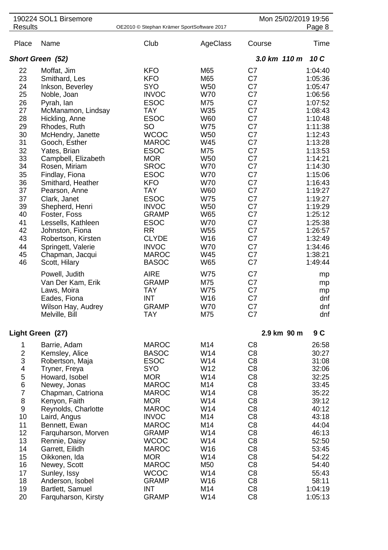|                                                                                                                                              | 190224 SOL1 Birsemore                                                                                                                                                                                                                                                                                                                                                                                                                                  |                                                                                                                                                                                                                                                                                                                                                           |                                                                                                                                                                                                                                                                                              |                                                                                                                                                                                                                                                                                                                                                                      | Mon 25/02/2019 19:56                                                                                                                                                                                                                                                 |
|----------------------------------------------------------------------------------------------------------------------------------------------|--------------------------------------------------------------------------------------------------------------------------------------------------------------------------------------------------------------------------------------------------------------------------------------------------------------------------------------------------------------------------------------------------------------------------------------------------------|-----------------------------------------------------------------------------------------------------------------------------------------------------------------------------------------------------------------------------------------------------------------------------------------------------------------------------------------------------------|----------------------------------------------------------------------------------------------------------------------------------------------------------------------------------------------------------------------------------------------------------------------------------------------|----------------------------------------------------------------------------------------------------------------------------------------------------------------------------------------------------------------------------------------------------------------------------------------------------------------------------------------------------------------------|----------------------------------------------------------------------------------------------------------------------------------------------------------------------------------------------------------------------------------------------------------------------|
| <b>Results</b>                                                                                                                               |                                                                                                                                                                                                                                                                                                                                                                                                                                                        | OE2010 © Stephan Krämer SportSoftware 2017                                                                                                                                                                                                                                                                                                                |                                                                                                                                                                                                                                                                                              |                                                                                                                                                                                                                                                                                                                                                                      | Page 8                                                                                                                                                                                                                                                               |
| Place                                                                                                                                        | Name                                                                                                                                                                                                                                                                                                                                                                                                                                                   | Club                                                                                                                                                                                                                                                                                                                                                      | AgeClass                                                                                                                                                                                                                                                                                     | Course                                                                                                                                                                                                                                                                                                                                                               | Time                                                                                                                                                                                                                                                                 |
|                                                                                                                                              | Short Green (52)                                                                                                                                                                                                                                                                                                                                                                                                                                       |                                                                                                                                                                                                                                                                                                                                                           |                                                                                                                                                                                                                                                                                              | 3.0 km 110 m                                                                                                                                                                                                                                                                                                                                                         | 10 C                                                                                                                                                                                                                                                                 |
| 22<br>23<br>24<br>25<br>26<br>27<br>28<br>29<br>30<br>31<br>32<br>33<br>34<br>35<br>36<br>37<br>37<br>39<br>40<br>41<br>42<br>43<br>44<br>45 | Moffat, Jim<br>Smithard, Les<br>Inkson, Beverley<br>Noble, Joan<br>Pyrah, lan<br>McManamon, Lindsay<br>Hickling, Anne<br>Rhodes, Ruth<br>McHendry, Janette<br>Gooch, Esther<br>Yates, Brian<br>Campbell, Elizabeth<br>Rosen, Miriam<br>Findlay, Fiona<br>Smithard, Heather<br>Pearson, Anne<br>Clark, Janet<br>Shepherd, Henri<br>Foster, Foss<br>Lessells, Kathleen<br>Johnston, Fiona<br>Robertson, Kirsten<br>Springett, Valerie<br>Chapman, Jacqui | <b>KFO</b><br><b>KFO</b><br><b>SYO</b><br><b>INVOC</b><br><b>ESOC</b><br><b>TAY</b><br><b>ESOC</b><br>SO<br><b>WCOC</b><br><b>MAROC</b><br><b>ESOC</b><br><b>MOR</b><br><b>SROC</b><br><b>ESOC</b><br><b>KFO</b><br><b>TAY</b><br><b>ESOC</b><br><b>INVOC</b><br><b>GRAMP</b><br><b>ESOC</b><br><b>RR</b><br><b>CLYDE</b><br><b>INVOC</b><br><b>MAROC</b> | M65<br>M65<br>W <sub>50</sub><br><b>W70</b><br>M75<br>W35<br><b>W60</b><br><b>W75</b><br><b>W50</b><br>W45<br>M75<br>W <sub>50</sub><br><b>W70</b><br><b>W70</b><br><b>W70</b><br><b>W60</b><br><b>W75</b><br><b>W50</b><br>W65<br><b>W70</b><br>W <sub>55</sub><br>W16<br><b>W70</b><br>W45 | C7<br>C7<br>C7<br>C7<br>C7<br>C7<br>C7<br>C7<br>C7<br>C7<br>C7<br>C7<br>C7<br>C7<br>C7<br>C7<br>C7<br>C7<br>C7<br>C7<br>C7<br>C7<br>C7<br>C7                                                                                                                                                                                                                         | 1:04:40<br>1:05:36<br>1:05:47<br>1:06:56<br>1:07:52<br>1:08:43<br>1:10:48<br>1:11:38<br>1:12:43<br>1:13:28<br>1:13:53<br>1:14:21<br>1:14:30<br>1:15:06<br>1:16:43<br>1:19:27<br>1:19:27<br>1:19:29<br>1:25:12<br>1:25:38<br>1:26:57<br>1:32:49<br>1:34:46<br>1:38:21 |
| 46                                                                                                                                           | Scott, Hilary<br>Powell, Judith<br>Van Der Kam, Erik<br>Laws, Moira<br>Eades, Fiona<br>Wilson Hay, Audrey<br>Melville, Bill                                                                                                                                                                                                                                                                                                                            | <b>BASOC</b><br><b>AIRE</b><br><b>GRAMP</b><br><b>TAY</b><br><b>INT</b><br><b>GRAMP</b><br><b>TAY</b>                                                                                                                                                                                                                                                     | <b>W65</b><br>W75<br>M75<br><b>W75</b><br>W16<br><b>W70</b><br>M75                                                                                                                                                                                                                           | C7<br>C7<br>C7<br>C7<br>C7<br>C7<br>C7                                                                                                                                                                                                                                                                                                                               | 1:49:44<br>mp<br>mp<br>mp<br>dnf<br>dnf<br>dnf                                                                                                                                                                                                                       |
|                                                                                                                                              | Light Green (27)                                                                                                                                                                                                                                                                                                                                                                                                                                       |                                                                                                                                                                                                                                                                                                                                                           |                                                                                                                                                                                                                                                                                              |                                                                                                                                                                                                                                                                                                                                                                      | 2.9 km 90 m<br>9C                                                                                                                                                                                                                                                    |
| 1<br>$\frac{2}{3}$<br>4<br>5<br>$\overline{6}$<br>$\overline{7}$<br>8<br>9<br>10<br>11<br>12<br>13<br>14<br>15<br>16<br>17<br>18<br>19<br>20 | Barrie, Adam<br>Kemsley, Alice<br>Robertson, Maja<br>Tryner, Freya<br>Howard, Isobel<br>Newey, Jonas<br>Chapman, Catriona<br>Kenyon, Faith<br>Reynolds, Charlotte<br>Laird, Angus<br>Bennett, Ewan<br>Farquharson, Morven<br>Rennie, Daisy<br>Garrett, Eilidh<br>Oikkonen, Ida<br>Newey, Scott<br>Sunley, Issy<br>Anderson, Isobel<br>Bartlett, Samuel<br>Farquharson, Kirsty                                                                          | <b>MAROC</b><br><b>BASOC</b><br><b>ESOC</b><br>SYO<br><b>MOR</b><br><b>MAROC</b><br><b>MAROC</b><br><b>MOR</b><br><b>MAROC</b><br><b>INVOC</b><br><b>MAROC</b><br><b>GRAMP</b><br><b>WCOC</b><br><b>MAROC</b><br><b>MOR</b><br><b>MAROC</b><br><b>WCOC</b><br><b>GRAMP</b><br><b>INT</b><br><b>GRAMP</b>                                                  | M14<br>W14<br>W14<br>W12<br>W14<br>M14<br>W14<br>W14<br>W14<br>M14<br>M14<br>W14<br>W14<br>W16<br>W14<br>M50<br>W14<br>W16<br>M14<br>W14                                                                                                                                                     | C <sub>8</sub><br>C <sub>8</sub><br>C <sub>8</sub><br>C <sub>8</sub><br>C <sub>8</sub><br>C <sub>8</sub><br>C <sub>8</sub><br>C <sub>8</sub><br>C <sub>8</sub><br>C <sub>8</sub><br>C <sub>8</sub><br>C <sub>8</sub><br>C <sub>8</sub><br>C <sub>8</sub><br>C <sub>8</sub><br>C <sub>8</sub><br>C <sub>8</sub><br>C <sub>8</sub><br>C <sub>8</sub><br>C <sub>8</sub> | 26:58<br>30:27<br>31:08<br>32:06<br>32:25<br>33:45<br>35:22<br>39:12<br>40:12<br>43:18<br>44:04<br>46:13<br>52:50<br>53:45<br>54:22<br>54:40<br>55:43<br>58:11<br>1:04:19<br>1:05:13                                                                                 |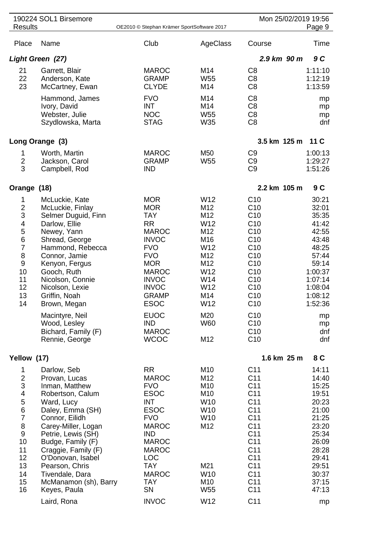|                                                                                                                                                        | 190224 SOL1 Birsemore                                                                                                                                                                                                                                                                                                                 |                                                                                                                                                                                                                                                                   |                                                                                                                            | Mon 25/02/2019 19:56                                                                                                                                                                                                                                                                                         |                                                                                                                                                                |
|--------------------------------------------------------------------------------------------------------------------------------------------------------|---------------------------------------------------------------------------------------------------------------------------------------------------------------------------------------------------------------------------------------------------------------------------------------------------------------------------------------|-------------------------------------------------------------------------------------------------------------------------------------------------------------------------------------------------------------------------------------------------------------------|----------------------------------------------------------------------------------------------------------------------------|--------------------------------------------------------------------------------------------------------------------------------------------------------------------------------------------------------------------------------------------------------------------------------------------------------------|----------------------------------------------------------------------------------------------------------------------------------------------------------------|
| <b>Results</b>                                                                                                                                         |                                                                                                                                                                                                                                                                                                                                       | OE2010 © Stephan Krämer SportSoftware 2017                                                                                                                                                                                                                        |                                                                                                                            |                                                                                                                                                                                                                                                                                                              | Page 9                                                                                                                                                         |
| Place                                                                                                                                                  | Name                                                                                                                                                                                                                                                                                                                                  | Club                                                                                                                                                                                                                                                              | AgeClass                                                                                                                   | Course                                                                                                                                                                                                                                                                                                       | Time                                                                                                                                                           |
|                                                                                                                                                        | Light Green (27)                                                                                                                                                                                                                                                                                                                      |                                                                                                                                                                                                                                                                   |                                                                                                                            | 2.9 km 90 m                                                                                                                                                                                                                                                                                                  | 9 C                                                                                                                                                            |
| 21<br>22<br>23                                                                                                                                         | Garrett, Blair<br>Anderson, Kate<br>McCartney, Ewan                                                                                                                                                                                                                                                                                   | <b>MAROC</b><br><b>GRAMP</b><br><b>CLYDE</b>                                                                                                                                                                                                                      | M14<br>W <sub>55</sub><br>M14                                                                                              | C <sub>8</sub><br>C <sub>8</sub><br>C <sub>8</sub>                                                                                                                                                                                                                                                           | 1:11:10<br>1:12:19<br>1:13:59                                                                                                                                  |
|                                                                                                                                                        | Hammond, James<br>Ivory, David<br>Webster, Julie<br>Szydlowska, Marta                                                                                                                                                                                                                                                                 | <b>FVO</b><br><b>INT</b><br><b>NOC</b><br><b>STAG</b>                                                                                                                                                                                                             | M14<br>M14<br>W55<br>W35                                                                                                   | C <sub>8</sub><br>C <sub>8</sub><br>C <sub>8</sub><br>C <sub>8</sub>                                                                                                                                                                                                                                         | mp<br>mp<br>mp<br>dnf                                                                                                                                          |
|                                                                                                                                                        | Long Orange (3)                                                                                                                                                                                                                                                                                                                       |                                                                                                                                                                                                                                                                   |                                                                                                                            | 3.5 km 125 m                                                                                                                                                                                                                                                                                                 | 11 <sub>C</sub>                                                                                                                                                |
| 1<br>$\overline{2}$<br>3                                                                                                                               | Worth, Martin<br>Jackson, Carol<br>Campbell, Rod                                                                                                                                                                                                                                                                                      | <b>MAROC</b><br><b>GRAMP</b><br><b>IND</b>                                                                                                                                                                                                                        | M50<br>W <sub>55</sub>                                                                                                     | C <sub>9</sub><br>C <sub>9</sub><br>C <sub>9</sub>                                                                                                                                                                                                                                                           | 1:00:13<br>1:29:27<br>1:51:26                                                                                                                                  |
| Orange (18)                                                                                                                                            |                                                                                                                                                                                                                                                                                                                                       |                                                                                                                                                                                                                                                                   |                                                                                                                            | 2.2 km 105 m                                                                                                                                                                                                                                                                                                 | 9C                                                                                                                                                             |
| 1<br>$\overline{2}$<br>3<br>4<br>5<br>6<br>$\overline{7}$<br>8<br>$\boldsymbol{9}$<br>10<br>11<br>12<br>13<br>14                                       | McLuckie, Kate<br>McLuckie, Finlay<br>Selmer Duguid, Finn<br>Darlow, Ellie<br>Newey, Yann<br>Shread, George<br>Hammond, Rebecca<br>Connor, Jamie<br>Kenyon, Fergus<br>Gooch, Ruth<br>Nicolson, Connie<br>Nicolson, Lexie<br>Griffin, Noah<br>Brown, Megan<br>Macintyre, Neil<br>Wood, Lesley<br>Bichard, Family (F)<br>Rennie, George | <b>MOR</b><br><b>MOR</b><br><b>TAY</b><br><b>RR</b><br><b>MAROC</b><br><b>INVOC</b><br><b>FVO</b><br><b>FVO</b><br><b>MOR</b><br><b>MAROC</b><br><b>INVOC</b><br><b>INVOC</b><br><b>GRAMP</b><br><b>ESOC</b><br><b>EUOC</b><br>IND<br><b>MAROC</b><br><b>WCOC</b> | W12<br>M12<br>M12<br>W12<br>M12<br>M16<br>W12<br>M12<br>M12<br>W12<br>W14<br>W12<br>M14<br>W12<br>M20<br><b>W60</b><br>M12 | C <sub>10</sub><br>C <sub>10</sub><br>C <sub>10</sub><br>C <sub>10</sub><br>C <sub>10</sub><br>C <sub>10</sub><br>C10<br>C10<br>C10<br>C10<br>C10<br>C10<br>C <sub>10</sub><br>C10<br>C10<br>C10<br>C <sub>10</sub><br>C10                                                                                   | 30:21<br>32:01<br>35:35<br>41:42<br>42:55<br>43:48<br>48:25<br>57:44<br>59:14<br>1:00:37<br>1:07:14<br>1:08:04<br>1:08:12<br>1:52:36<br>mp<br>mp<br>dnf<br>dnf |
| Yellow (17)                                                                                                                                            |                                                                                                                                                                                                                                                                                                                                       |                                                                                                                                                                                                                                                                   |                                                                                                                            | 1.6 km 25 m                                                                                                                                                                                                                                                                                                  | 8 C                                                                                                                                                            |
| 1<br>$\overline{\mathbf{c}}$<br>3<br>$\overline{\mathbf{4}}$<br>5<br>$\,$ 6 $\,$<br>$\overline{7}$<br>8<br>9<br>10<br>11<br>12<br>13<br>14<br>15<br>16 | Darlow, Seb<br>Provan, Lucas<br>Inman, Matthew<br>Robertson, Calum<br>Ward, Lucy<br>Daley, Emma (SH)<br>Connor, Eilidh<br>Carey-Miller, Logan<br>Petrie, Lewis (SH)<br>Budge, Family (F)<br>Craggie, Family (F)<br>O'Donovan, Isabel<br>Pearson, Chris<br>Tivendale, Dara<br>McManamon (sh), Barry<br>Keyes, Paula                    | <b>RR</b><br><b>MAROC</b><br><b>FVO</b><br><b>ESOC</b><br><b>INT</b><br><b>ESOC</b><br><b>FVO</b><br><b>MAROC</b><br><b>IND</b><br><b>MAROC</b><br><b>MAROC</b><br><b>LOC</b><br><b>TAY</b><br><b>MAROC</b><br><b>TAY</b><br>SN                                   | M10<br>M12<br>M10<br>M10<br>W10<br>W10<br>W10<br>M12<br>M21<br>W10<br>M10<br>W55                                           | C <sub>11</sub><br>C <sub>11</sub><br>C <sub>11</sub><br>C <sub>11</sub><br>C <sub>11</sub><br>C <sub>11</sub><br>C <sub>11</sub><br>C <sub>11</sub><br>C <sub>11</sub><br>C <sub>11</sub><br>C <sub>11</sub><br>C <sub>11</sub><br>C <sub>11</sub><br>C <sub>11</sub><br>C <sub>11</sub><br>C <sub>11</sub> | 14:11<br>14:40<br>15:25<br>19:51<br>20:23<br>21:00<br>21:25<br>23:20<br>25:34<br>26:09<br>28:28<br>29:41<br>29:51<br>30:37<br>37:15<br>47:13                   |
|                                                                                                                                                        | Laird, Rona                                                                                                                                                                                                                                                                                                                           | <b>INVOC</b>                                                                                                                                                                                                                                                      | W12                                                                                                                        | C <sub>11</sub>                                                                                                                                                                                                                                                                                              | mp                                                                                                                                                             |